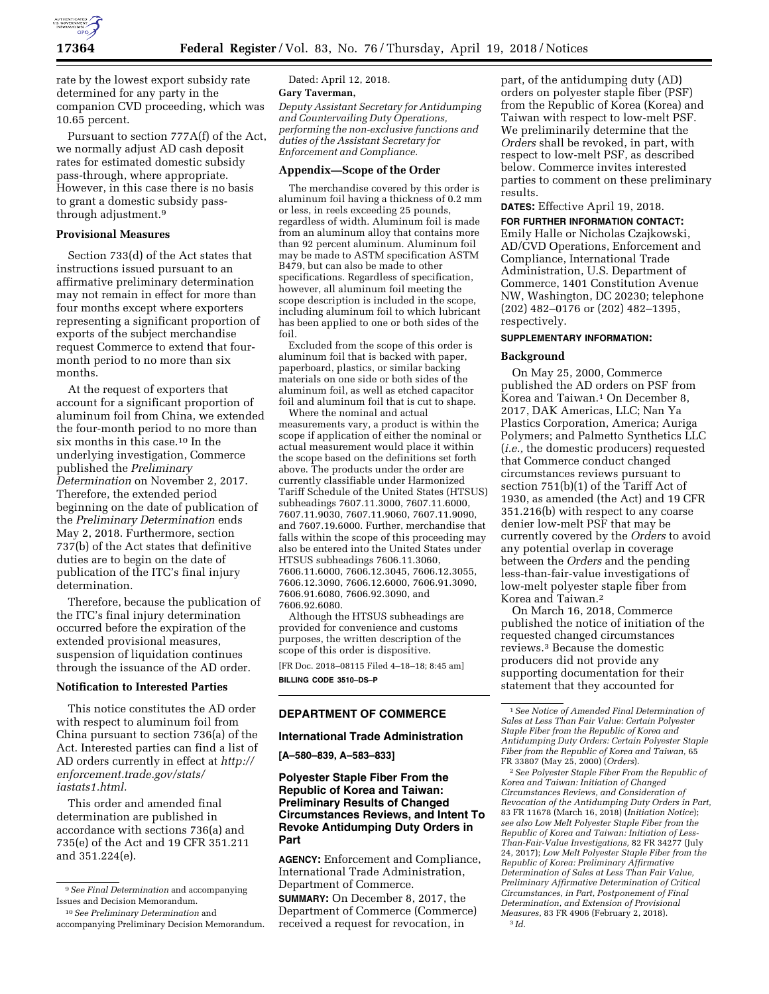

rate by the lowest export subsidy rate determined for any party in the companion CVD proceeding, which was 10.65 percent.

Pursuant to section 777A(f) of the Act, we normally adjust AD cash deposit rates for estimated domestic subsidy pass-through, where appropriate. However, in this case there is no basis to grant a domestic subsidy passthrough adjustment.9

## **Provisional Measures**

Section 733(d) of the Act states that instructions issued pursuant to an affirmative preliminary determination may not remain in effect for more than four months except where exporters representing a significant proportion of exports of the subject merchandise request Commerce to extend that fourmonth period to no more than six months.

At the request of exporters that account for a significant proportion of aluminum foil from China, we extended the four-month period to no more than six months in this case.10 In the underlying investigation, Commerce published the *Preliminary Determination* on November 2, 2017. Therefore, the extended period beginning on the date of publication of the *Preliminary Determination* ends May 2, 2018. Furthermore, section 737(b) of the Act states that definitive duties are to begin on the date of publication of the ITC's final injury determination.

Therefore, because the publication of the ITC's final injury determination occurred before the expiration of the extended provisional measures, suspension of liquidation continues through the issuance of the AD order.

## **Notification to Interested Parties**

This notice constitutes the AD order with respect to aluminum foil from China pursuant to section 736(a) of the Act. Interested parties can find a list of AD orders currently in effect at *[http://](http://enforcement.trade.gov/stats/iastats1.html) [enforcement.trade.gov/stats/](http://enforcement.trade.gov/stats/iastats1.html) [iastats1.html.](http://enforcement.trade.gov/stats/iastats1.html)* 

This order and amended final determination are published in accordance with sections 736(a) and 735(e) of the Act and 19 CFR 351.211 and 351.224(e).

Dated: April 12, 2018.

# **Gary Taverman,**

*Deputy Assistant Secretary for Antidumping and Countervailing Duty Operations, performing the non-exclusive functions and duties of the Assistant Secretary for Enforcement and Compliance.* 

## **Appendix—Scope of the Order**

The merchandise covered by this order is aluminum foil having a thickness of 0.2 mm or less, in reels exceeding 25 pounds, regardless of width. Aluminum foil is made from an aluminum alloy that contains more than 92 percent aluminum. Aluminum foil may be made to ASTM specification ASTM B479, but can also be made to other specifications. Regardless of specification, however, all aluminum foil meeting the scope description is included in the scope, including aluminum foil to which lubricant has been applied to one or both sides of the foil.

Excluded from the scope of this order is aluminum foil that is backed with paper, paperboard, plastics, or similar backing materials on one side or both sides of the aluminum foil, as well as etched capacitor foil and aluminum foil that is cut to shape.

Where the nominal and actual measurements vary, a product is within the scope if application of either the nominal or actual measurement would place it within the scope based on the definitions set forth above. The products under the order are currently classifiable under Harmonized Tariff Schedule of the United States (HTSUS) subheadings 7607.11.3000, 7607.11.6000, 7607.11.9030, 7607.11.9060, 7607.11.9090, and 7607.19.6000. Further, merchandise that falls within the scope of this proceeding may also be entered into the United States under HTSUS subheadings 7606.11.3060, 7606.11.6000, 7606.12.3045, 7606.12.3055, 7606.12.3090, 7606.12.6000, 7606.91.3090, 7606.91.6080, 7606.92.3090, and 7606.92.6080.

Although the HTSUS subheadings are provided for convenience and customs purposes, the written description of the scope of this order is dispositive.

[FR Doc. 2018–08115 Filed 4–18–18; 8:45 am] **BILLING CODE 3510–DS–P** 

## **DEPARTMENT OF COMMERCE**

#### **International Trade Administration**

#### **[A–580–839, A–583–833]**

**Polyester Staple Fiber From the Republic of Korea and Taiwan: Preliminary Results of Changed Circumstances Reviews, and Intent To Revoke Antidumping Duty Orders in Part** 

**AGENCY:** Enforcement and Compliance, International Trade Administration, Department of Commerce.

**SUMMARY:** On December 8, 2017, the Department of Commerce (Commerce) received a request for revocation, in

part, of the antidumping duty (AD) orders on polyester staple fiber (PSF) from the Republic of Korea (Korea) and Taiwan with respect to low-melt PSF. We preliminarily determine that the *Orders* shall be revoked, in part, with respect to low-melt PSF, as described below. Commerce invites interested parties to comment on these preliminary results.

#### **DATES:** Effective April 19, 2018.

**FOR FURTHER INFORMATION CONTACT:**  Emily Halle or Nicholas Czajkowski, AD/CVD Operations, Enforcement and Compliance, International Trade Administration, U.S. Department of Commerce, 1401 Constitution Avenue NW, Washington, DC 20230; telephone (202) 482–0176 or (202) 482–1395, respectively.

## **SUPPLEMENTARY INFORMATION:**

#### **Background**

On May 25, 2000, Commerce published the AD orders on PSF from Korea and Taiwan.1 On December 8, 2017, DAK Americas, LLC; Nan Ya Plastics Corporation, America; Auriga Polymers; and Palmetto Synthetics LLC (*i.e.,* the domestic producers) requested that Commerce conduct changed circumstances reviews pursuant to section 751(b)(1) of the Tariff Act of 1930, as amended (the Act) and 19 CFR 351.216(b) with respect to any coarse denier low-melt PSF that may be currently covered by the *Orders* to avoid any potential overlap in coverage between the *Orders* and the pending less-than-fair-value investigations of low-melt polyester staple fiber from Korea and Taiwan.2

On March 16, 2018, Commerce published the notice of initiation of the requested changed circumstances reviews.3 Because the domestic producers did not provide any supporting documentation for their statement that they accounted for

2*See Polyester Staple Fiber From the Republic of Korea and Taiwan: Initiation of Changed Circumstances Reviews, and Consideration of Revocation of the Antidumping Duty Orders in Part,*  83 FR 11678 (March 16, 2018) (*Initiation Notice*); *see also Low Melt Polyester Staple Fiber from the Republic of Korea and Taiwan: Initiation of Less-Than-Fair-Value Investigations,* 82 FR 34277 (July 24, 2017); *Low Melt Polyester Staple Fiber from the Republic of Korea: Preliminary Affirmative Determination of Sales at Less Than Fair Value, Preliminary Affirmative Determination of Critical Circumstances, in Part, Postponement of Final Determination, and Extension of Provisional Measures,* 83 FR 4906 (February 2, 2018). 3 *Id.* 

<sup>9</sup>*See Final Determination* and accompanying Issues and Decision Memorandum.

<sup>10</sup>*See Preliminary Determination* and accompanying Preliminary Decision Memorandum.

<sup>1</sup>*See Notice of Amended Final Determination of Sales at Less Than Fair Value: Certain Polyester Staple Fiber from the Republic of Korea and Antidumping Duty Orders: Certain Polyester Staple Fiber from the Republic of Korea and Taiwan,* 65 FR 33807 (May 25, 2000) (*Orders*).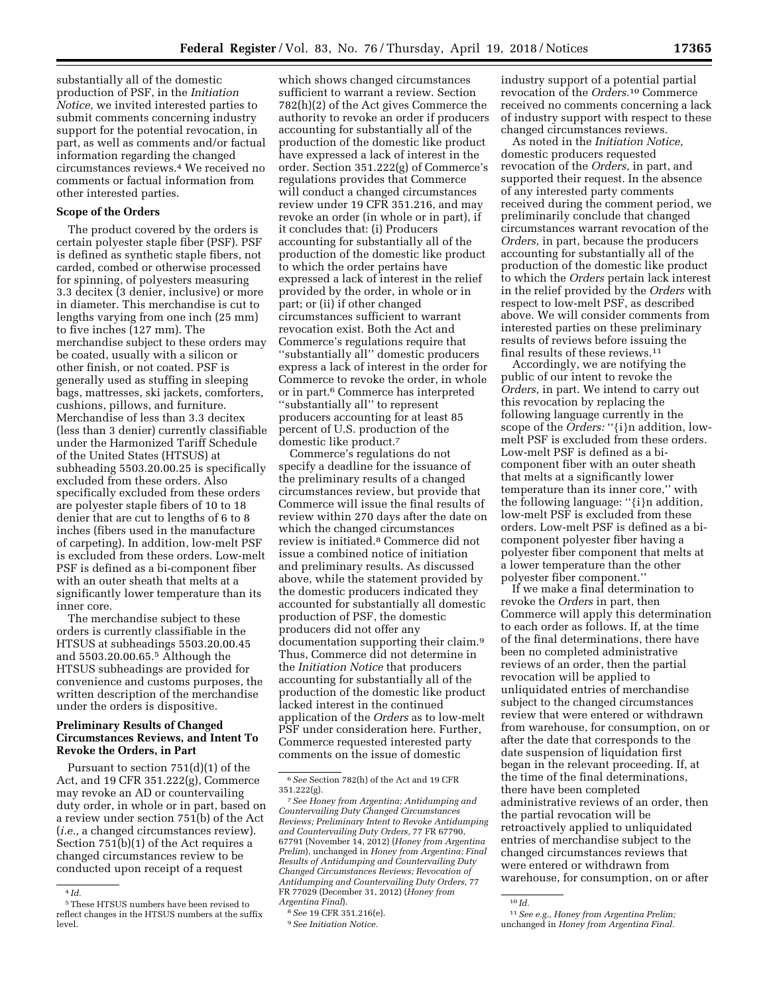substantially all of the domestic production of PSF, in the *Initiation Notice,* we invited interested parties to submit comments concerning industry support for the potential revocation, in part, as well as comments and/or factual information regarding the changed circumstances reviews.4 We received no comments or factual information from other interested parties.

## **Scope of the Orders**

The product covered by the orders is certain polyester staple fiber (PSF). PSF is defined as synthetic staple fibers, not carded, combed or otherwise processed for spinning, of polyesters measuring 3.3 decitex (3 denier, inclusive) or more in diameter. This merchandise is cut to lengths varying from one inch (25 mm) to five inches (127 mm). The merchandise subject to these orders may be coated, usually with a silicon or other finish, or not coated. PSF is generally used as stuffing in sleeping bags, mattresses, ski jackets, comforters, cushions, pillows, and furniture. Merchandise of less than 3.3 decitex (less than 3 denier) currently classifiable under the Harmonized Tariff Schedule of the United States (HTSUS) at subheading 5503.20.00.25 is specifically excluded from these orders. Also specifically excluded from these orders are polyester staple fibers of 10 to 18 denier that are cut to lengths of 6 to 8 inches (fibers used in the manufacture of carpeting). In addition, low-melt PSF is excluded from these orders. Low-melt PSF is defined as a bi-component fiber with an outer sheath that melts at a significantly lower temperature than its inner core.

The merchandise subject to these orders is currently classifiable in the HTSUS at subheadings 5503.20.00.45 and 5503.20.00.65.5 Although the HTSUS subheadings are provided for convenience and customs purposes, the written description of the merchandise under the orders is dispositive.

## **Preliminary Results of Changed Circumstances Reviews, and Intent To Revoke the Orders, in Part**

Pursuant to section 751(d)(1) of the Act, and 19 CFR 351.222(g), Commerce may revoke an AD or countervailing duty order, in whole or in part, based on a review under section 751(b) of the Act (*i.e.,* a changed circumstances review). Section 751(b)(1) of the Act requires a changed circumstances review to be conducted upon receipt of a request

which shows changed circumstances sufficient to warrant a review. Section 782(h)(2) of the Act gives Commerce the authority to revoke an order if producers accounting for substantially all of the production of the domestic like product have expressed a lack of interest in the order. Section 351.222(g) of Commerce's regulations provides that Commerce will conduct a changed circumstances review under 19 CFR 351.216, and may revoke an order (in whole or in part), if it concludes that: (i) Producers accounting for substantially all of the production of the domestic like product to which the order pertains have expressed a lack of interest in the relief provided by the order, in whole or in part; or (ii) if other changed circumstances sufficient to warrant revocation exist. Both the Act and Commerce's regulations require that ''substantially all'' domestic producers express a lack of interest in the order for Commerce to revoke the order, in whole or in part.6 Commerce has interpreted ''substantially all'' to represent producers accounting for at least 85 percent of U.S. production of the domestic like product.7

Commerce's regulations do not specify a deadline for the issuance of the preliminary results of a changed circumstances review, but provide that Commerce will issue the final results of review within 270 days after the date on which the changed circumstances review is initiated.8 Commerce did not issue a combined notice of initiation and preliminary results. As discussed above, while the statement provided by the domestic producers indicated they accounted for substantially all domestic production of PSF, the domestic producers did not offer any documentation supporting their claim.9 Thus, Commerce did not determine in the *Initiation Notice* that producers accounting for substantially all of the production of the domestic like product lacked interest in the continued application of the *Orders* as to low-melt PSF under consideration here. Further, Commerce requested interested party comments on the issue of domestic

industry support of a potential partial revocation of the *Orders.*10 Commerce received no comments concerning a lack of industry support with respect to these changed circumstances reviews.

As noted in the *Initiation Notice,*  domestic producers requested revocation of the *Orders,* in part, and supported their request. In the absence of any interested party comments received during the comment period, we preliminarily conclude that changed circumstances warrant revocation of the *Orders,* in part, because the producers accounting for substantially all of the production of the domestic like product to which the *Orders* pertain lack interest in the relief provided by the *Orders* with respect to low-melt PSF, as described above. We will consider comments from interested parties on these preliminary results of reviews before issuing the final results of these reviews.11

Accordingly, we are notifying the public of our intent to revoke the *Orders,* in part. We intend to carry out this revocation by replacing the following language currently in the scope of the *Orders:* "{i}n addition, lowmelt PSF is excluded from these orders. Low-melt PSF is defined as a bicomponent fiber with an outer sheath that melts at a significantly lower temperature than its inner core,'' with the following language: ''{i}n addition, low-melt PSF is excluded from these orders. Low-melt PSF is defined as a bicomponent polyester fiber having a polyester fiber component that melts at a lower temperature than the other polyester fiber component.''

If we make a final determination to revoke the *Orders* in part, then Commerce will apply this determination to each order as follows. If, at the time of the final determinations, there have been no completed administrative reviews of an order, then the partial revocation will be applied to unliquidated entries of merchandise subject to the changed circumstances review that were entered or withdrawn from warehouse, for consumption, on or after the date that corresponds to the date suspension of liquidation first began in the relevant proceeding. If, at the time of the final determinations, there have been completed administrative reviews of an order, then the partial revocation will be retroactively applied to unliquidated entries of merchandise subject to the changed circumstances reviews that were entered or withdrawn from warehouse, for consumption, on or after

<sup>4</sup> *Id.* 

<sup>5</sup>These HTSUS numbers have been revised to reflect changes in the HTSUS numbers at the suffix level.

<sup>6</sup>*See* Section 782(h) of the Act and 19 CFR 351.222(g).

<sup>7</sup>*See Honey from Argentina; Antidumping and Countervailing Duty Changed Circumstances Reviews; Preliminary Intent to Revoke Antidumping and Countervailing Duty Orders,* 77 FR 67790, 67791 (November 14, 2012) (*Honey from Argentina Prelim*), unchanged in *Honey from Argentina; Final Results of Antidumping and Countervailing Duty Changed Circumstances Reviews; Revocation of Antidumping and Countervailing Duty Orders,* 77 FR 77029 (December 31, 2012) (*Honey from Argentina Final*).

<sup>8</sup>*See* 19 CFR 351.216(e).

<sup>9</sup>*See Initiation Notice.* 

 $^{10}\,Id.$ 

<sup>11</sup>*See e.g., Honey from Argentina Prelim;*  unchanged in *Honey from Argentina Final.*